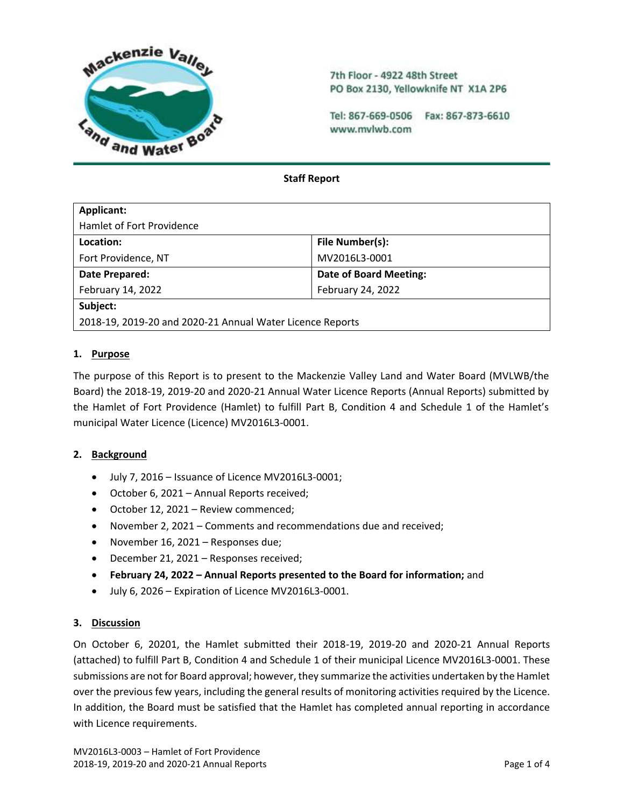

7th Floor - 4922 48th Street PO Box 2130, Yellowknife NT X1A 2P6

Tel: 867-669-0506 Fax: 867-873-6610 www.mvlwb.com

**Staff Report**

| Applicant:                                                |                               |  |  |  |  |
|-----------------------------------------------------------|-------------------------------|--|--|--|--|
| Hamlet of Fort Providence                                 |                               |  |  |  |  |
| Location:                                                 | File Number(s):               |  |  |  |  |
| Fort Providence, NT                                       | MV2016L3-0001                 |  |  |  |  |
| Date Prepared:                                            | <b>Date of Board Meeting:</b> |  |  |  |  |
| February 14, 2022                                         | February 24, 2022             |  |  |  |  |
| Subject:                                                  |                               |  |  |  |  |
| 2018-19, 2019-20 and 2020-21 Annual Water Licence Reports |                               |  |  |  |  |

## **1. Purpose**

The purpose of this Report is to present to the Mackenzie Valley Land and Water Board (MVLWB/the Board) the 2018-19, 2019-20 and 2020-21 Annual Water Licence Reports (Annual Reports) submitted by the Hamlet of Fort Providence (Hamlet) to fulfill Part B, Condition 4 and Schedule 1 of the Hamlet's municipal Water Licence (Licence) MV2016L3-0001.

## **2. Background**

- July 7, 2016 Issuance of Licence MV2016L3-0001;
- October 6, 2021 Annual Reports received;
- October 12, 2021 Review commenced;
- November 2, 2021 Comments and recommendations due and received;
- November 16, 2021 Responses due;
- December 21, 2021 Responses received;
- **February 24, 2022 – Annual Reports presented to the Board for information;** and
- July 6, 2026 Expiration of Licence MV2016L3-0001.

## **3. Discussion**

On October 6, 20201, the Hamlet submitted their 2018-19, 2019-20 and 2020-21 Annual Reports (attached) to fulfill Part B, Condition 4 and Schedule 1 of their municipal Licence MV2016L3-0001. These submissions are not for Board approval; however, they summarize the activities undertaken by the Hamlet over the previous few years, including the general results of monitoring activities required by the Licence. In addition, the Board must be satisfied that the Hamlet has completed annual reporting in accordance with Licence requirements.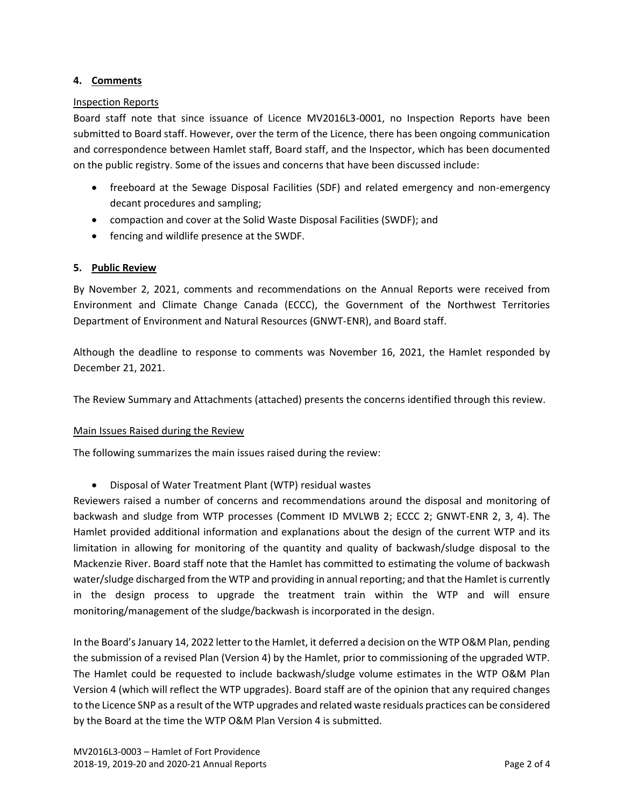## **4. Comments**

## Inspection Reports

Board staff note that since issuance of Licence MV2016L3-0001, no Inspection Reports have been submitted to Board staff. However, over the term of the Licence, there has been ongoing communication and correspondence between Hamlet staff, Board staff, and the Inspector, which has been documented on the public registry. Some of the issues and concerns that have been discussed include:

- freeboard at the Sewage Disposal Facilities (SDF) and related emergency and non-emergency decant procedures and sampling;
- compaction and cover at the Solid Waste Disposal Facilities (SWDF); and
- fencing and wildlife presence at the SWDF.

## **5. Public Review**

By November 2, 2021, comments and recommendations on the Annual Reports were received from Environment and Climate Change Canada (ECCC), the Government of the Northwest Territories Department of Environment and Natural Resources (GNWT-ENR), and Board staff.

Although the deadline to response to comments was November 16, 2021, the Hamlet responded by December 21, 2021.

The Review Summary and Attachments (attached) presents the concerns identified through this review.

## Main Issues Raised during the Review

The following summarizes the main issues raised during the review:

• Disposal of Water Treatment Plant (WTP) residual wastes

Reviewers raised a number of concerns and recommendations around the disposal and monitoring of backwash and sludge from WTP processes (Comment ID MVLWB 2; ECCC 2; GNWT-ENR 2, 3, 4). The Hamlet provided additional information and explanations about the design of the current WTP and its limitation in allowing for monitoring of the quantity and quality of backwash/sludge disposal to the Mackenzie River. Board staff note that the Hamlet has committed to estimating the volume of backwash water/sludge discharged from the WTP and providing in annual reporting; and that the Hamlet is currently in the design process to upgrade the treatment train within the WTP and will ensure monitoring/management of the sludge/backwash is incorporated in the design.

In the Board's January 14, 2022 letter to the Hamlet, it deferred a decision on the WTP O&M Plan, pending the submission of a revised Plan (Version 4) by the Hamlet, prior to commissioning of the upgraded WTP. The Hamlet could be requested to include backwash/sludge volume estimates in the WTP O&M Plan Version 4 (which will reflect the WTP upgrades). Board staff are of the opinion that any required changes to the Licence SNP as a result of the WTP upgrades and related waste residuals practices can be considered by the Board at the time the WTP O&M Plan Version 4 is submitted.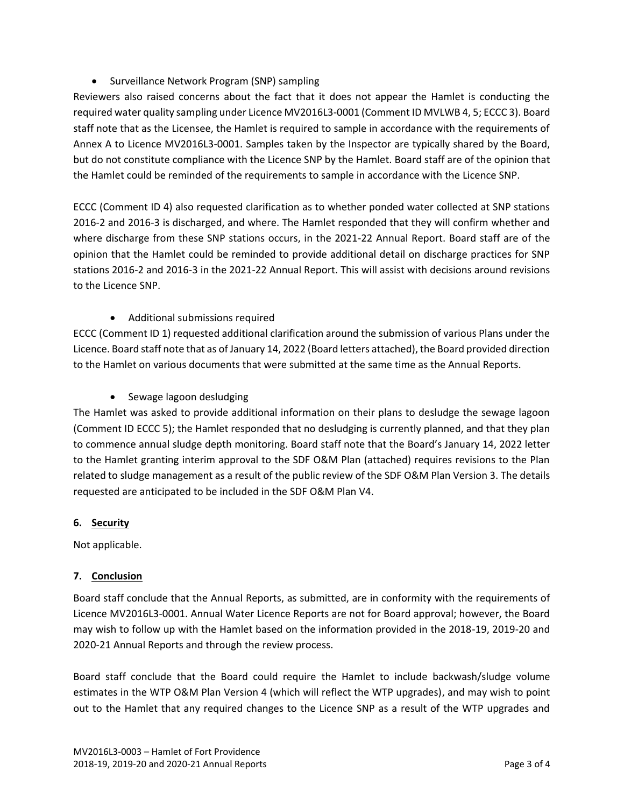## • Surveillance Network Program (SNP) sampling

Reviewers also raised concerns about the fact that it does not appear the Hamlet is conducting the required water quality sampling under Licence MV2016L3-0001 (Comment ID MVLWB 4, 5; ECCC 3). Board staff note that as the Licensee, the Hamlet is required to sample in accordance with the requirements of Annex A to Licence MV2016L3-0001. Samples taken by the Inspector are typically shared by the Board, but do not constitute compliance with the Licence SNP by the Hamlet. Board staff are of the opinion that the Hamlet could be reminded of the requirements to sample in accordance with the Licence SNP.

ECCC (Comment ID 4) also requested clarification as to whether ponded water collected at SNP stations 2016-2 and 2016-3 is discharged, and where. The Hamlet responded that they will confirm whether and where discharge from these SNP stations occurs, in the 2021-22 Annual Report. Board staff are of the opinion that the Hamlet could be reminded to provide additional detail on discharge practices for SNP stations 2016-2 and 2016-3 in the 2021-22 Annual Report. This will assist with decisions around revisions to the Licence SNP.

• Additional submissions required

ECCC (Comment ID 1) requested additional clarification around the submission of various Plans under the Licence. Board staff note that as of January 14, 2022 (Board letters attached), the Board provided direction to the Hamlet on various documents that were submitted at the same time as the Annual Reports.

• Sewage lagoon desludging

The Hamlet was asked to provide additional information on their plans to desludge the sewage lagoon (Comment ID ECCC 5); the Hamlet responded that no desludging is currently planned, and that they plan to commence annual sludge depth monitoring. Board staff note that the Board's January 14, 2022 letter to the Hamlet granting interim approval to the SDF O&M Plan (attached) requires revisions to the Plan related to sludge management as a result of the public review of the SDF O&M Plan Version 3. The details requested are anticipated to be included in the SDF O&M Plan V4.

## **6. Security**

Not applicable.

## **7. Conclusion**

Board staff conclude that the Annual Reports, as submitted, are in conformity with the requirements of Licence MV2016L3-0001. Annual Water Licence Reports are not for Board approval; however, the Board may wish to follow up with the Hamlet based on the information provided in the 2018-19, 2019-20 and 2020-21 Annual Reports and through the review process.

Board staff conclude that the Board could require the Hamlet to include backwash/sludge volume estimates in the WTP O&M Plan Version 4 (which will reflect the WTP upgrades), and may wish to point out to the Hamlet that any required changes to the Licence SNP as a result of the WTP upgrades and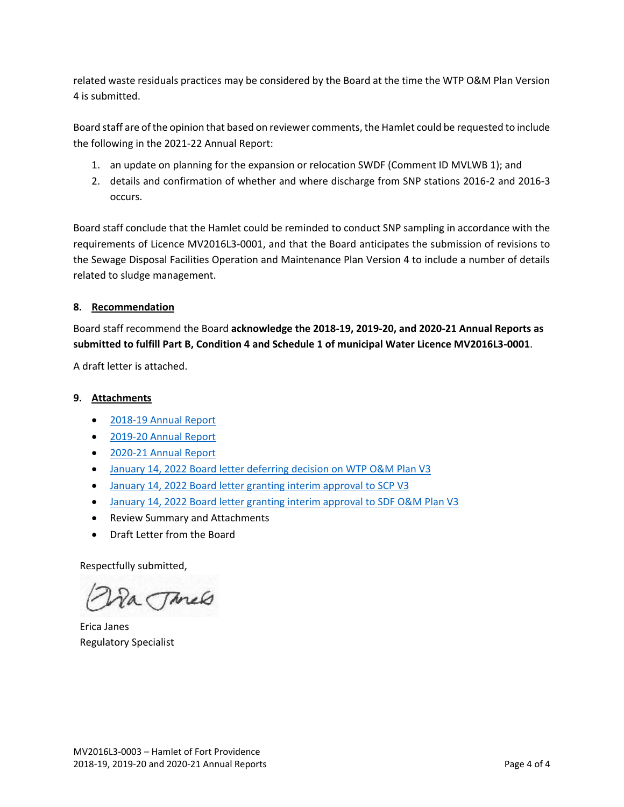related waste residuals practices may be considered by the Board at the time the WTP O&M Plan Version 4 is submitted.

Board staff are of the opinion that based on reviewer comments, the Hamlet could be requested to include the following in the 2021-22 Annual Report:

- 1. an update on planning for the expansion or relocation SWDF (Comment ID MVLWB 1); and
- 2. details and confirmation of whether and where discharge from SNP stations 2016-2 and 2016-3 occurs.

Board staff conclude that the Hamlet could be reminded to conduct SNP sampling in accordance with the requirements of Licence MV2016L3-0001, and that the Board anticipates the submission of revisions to the Sewage Disposal Facilities Operation and Maintenance Plan Version 4 to include a number of details related to sludge management.

## **8. Recommendation**

Board staff recommend the Board **acknowledge the 2018-19, 2019-20, and 2020-21 Annual Reports as submitted to fulfill Part B, Condition 4 and Schedule 1 of municipal Water Licence MV2016L3-0001**.

A draft letter is attached.

#### **9. Attachments**

- [2018-19 Annual Report](https://registry.mvlwb.ca/Documents/MV2016L3-0001/Ft%20Providence%20-%202018-2019%20Annual%20Report%20-%20Oct6_21.pdf)
- [2019-20 Annual Report](https://registry.mvlwb.ca/Documents/MV2016L3-0001/Ft%20Providence%20-%202019-2020%20Annual%20Report%20-%20Oct6_21.pdf)
- [2020-21 Annual Report](https://registry.mvlwb.ca/Documents/MV2016L3-0001/Ft%20Providence%20-%202020-2021%20Annual%20Report%20-%20Oct6_21.pdf)
- [January 14, 2022 Board letter deferring decision on WTP O&M Plan V3](https://registry.mvlwb.ca/Documents/MV2016L3-0001/Ft%20Providence%20%20-%20Board%20Direction%20-%20Water%20Treatment%20Plant%20OM%20Plan%20V3%20-%20Jan14_22.pdf)
- [January 14, 2022 Board letter granting interim approval to SCP V3](https://registry.mvlwb.ca/Documents/MV2016L3-0001/Ft%20Providence%20-%20Resubmission%20Required%20-%20Spill%20Contingency%20Plan%20V3%20-%20Jan14_22.pdf)
- [January 14, 2022 Board letter granting interim approval to SDF O&M Plan V3](https://registry.mvlwb.ca/Documents/MV2016L3-0001/Ft%20Providence%20-%20Resubmission%20Required%20-%20Sewage%20Disposal%20Facilities%20OM%20Plan%20V3%20-Jan14_22.pdf)
- Review Summary and Attachments
- Draft Letter from the Board

Respectfully submitted,

a Janes

Erica Janes Regulatory Specialist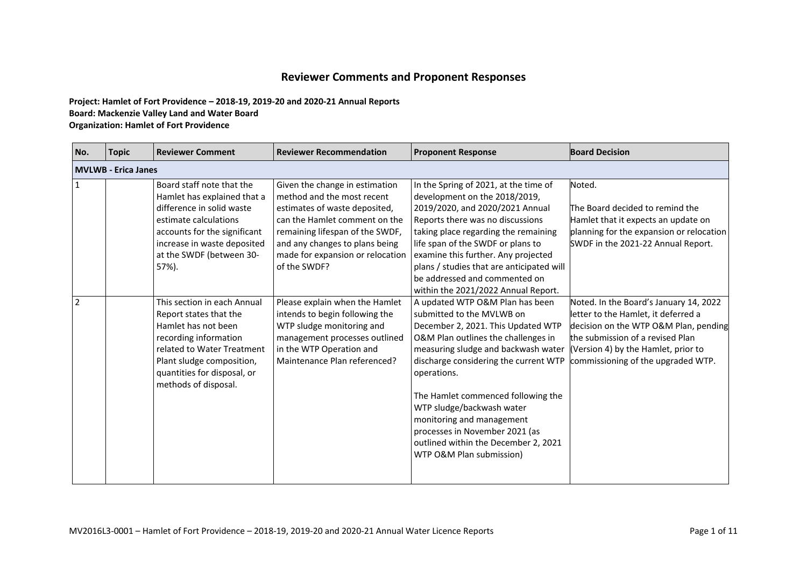## **Reviewer Comments and Proponent Responses**

#### **Project: Hamlet of Fort Providence – 2018-19, 2019-20 and 2020-21 Annual Reports Board: Mackenzie Valley Land and Water Board Organization: Hamlet of Fort Providence**

| No.            | <b>Topic</b>               | Reviewer Comment                                                                                                                                                                                                        | <b>Reviewer Recommendation</b>                                                                                                                                                                                                                          | <b>Proponent Response</b>                                                                                                                                                                                                                                                                                                                                                                                                                      | <b>Board Decision</b>                                                                                                                                                                                                                   |
|----------------|----------------------------|-------------------------------------------------------------------------------------------------------------------------------------------------------------------------------------------------------------------------|---------------------------------------------------------------------------------------------------------------------------------------------------------------------------------------------------------------------------------------------------------|------------------------------------------------------------------------------------------------------------------------------------------------------------------------------------------------------------------------------------------------------------------------------------------------------------------------------------------------------------------------------------------------------------------------------------------------|-----------------------------------------------------------------------------------------------------------------------------------------------------------------------------------------------------------------------------------------|
|                | <b>MVLWB - Erica Janes</b> |                                                                                                                                                                                                                         |                                                                                                                                                                                                                                                         |                                                                                                                                                                                                                                                                                                                                                                                                                                                |                                                                                                                                                                                                                                         |
| $\mathbf 1$    |                            | Board staff note that the<br>Hamlet has explained that a<br>difference in solid waste<br>estimate calculations<br>accounts for the significant<br>increase in waste deposited<br>at the SWDF (between 30-<br>57%).      | Given the change in estimation<br>method and the most recent<br>estimates of waste deposited,<br>can the Hamlet comment on the<br>remaining lifespan of the SWDF,<br>and any changes to plans being<br>made for expansion or relocation<br>of the SWDF? | In the Spring of 2021, at the time of<br>development on the 2018/2019,<br>2019/2020, and 2020/2021 Annual<br>Reports there was no discussions<br>taking place regarding the remaining<br>life span of the SWDF or plans to<br>examine this further. Any projected<br>plans / studies that are anticipated will<br>be addressed and commented on<br>within the 2021/2022 Annual Report.                                                         | Noted.<br>The Board decided to remind the<br>Hamlet that it expects an update on<br>planning for the expansion or relocation<br>SWDF in the 2021-22 Annual Report.                                                                      |
| $\overline{2}$ |                            | This section in each Annual<br>Report states that the<br>Hamlet has not been<br>recording information<br>related to Water Treatment<br>Plant sludge composition,<br>quantities for disposal, or<br>methods of disposal. | Please explain when the Hamlet<br>intends to begin following the<br>WTP sludge monitoring and<br>management processes outlined<br>in the WTP Operation and<br>Maintenance Plan referenced?                                                              | A updated WTP O&M Plan has been<br>submitted to the MVLWB on<br>December 2, 2021. This Updated WTP<br>O&M Plan outlines the challenges in<br>measuring sludge and backwash water<br>discharge considering the current WTP<br>operations.<br>The Hamlet commenced following the<br>WTP sludge/backwash water<br>monitoring and management<br>processes in November 2021 (as<br>outlined within the December 2, 2021<br>WTP O&M Plan submission) | Noted. In the Board's January 14, 2022<br>letter to the Hamlet, it deferred a<br>decision on the WTP O&M Plan, pending<br>the submission of a revised Plan<br>(Version 4) by the Hamlet, prior to<br>commissioning of the upgraded WTP. |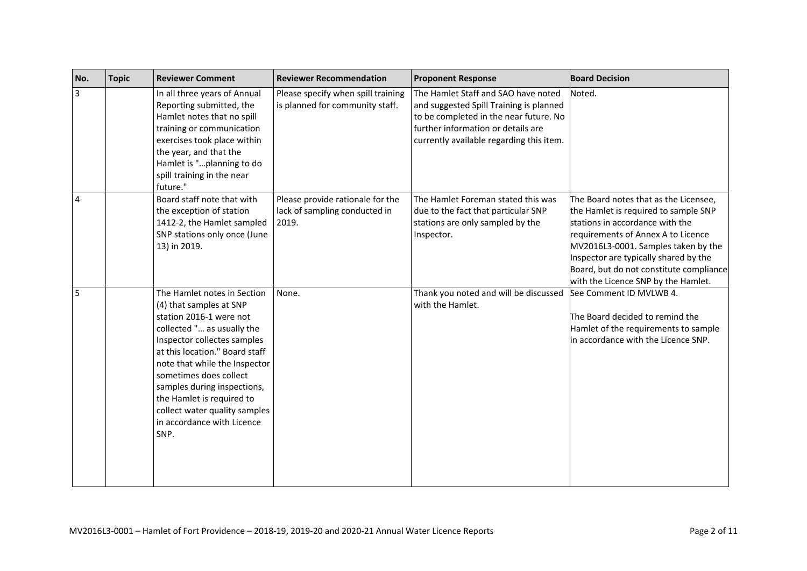| No.            | <b>Topic</b> | <b>Reviewer Comment</b>                                                                                                                                                                                                                                                                                                                                                        | <b>Reviewer Recommendation</b>                                             | <b>Proponent Response</b>                                                                                                                                                                                  | <b>Board Decision</b>                                                                                                                                                                                                                                                                                                    |
|----------------|--------------|--------------------------------------------------------------------------------------------------------------------------------------------------------------------------------------------------------------------------------------------------------------------------------------------------------------------------------------------------------------------------------|----------------------------------------------------------------------------|------------------------------------------------------------------------------------------------------------------------------------------------------------------------------------------------------------|--------------------------------------------------------------------------------------------------------------------------------------------------------------------------------------------------------------------------------------------------------------------------------------------------------------------------|
| 3              |              | In all three years of Annual<br>Reporting submitted, the<br>Hamlet notes that no spill<br>training or communication<br>exercises took place within<br>the year, and that the<br>Hamlet is "planning to do<br>spill training in the near<br>future."                                                                                                                            | Please specify when spill training<br>is planned for community staff.      | The Hamlet Staff and SAO have noted<br>and suggested Spill Training is planned<br>to be completed in the near future. No<br>further information or details are<br>currently available regarding this item. | Noted.                                                                                                                                                                                                                                                                                                                   |
| $\overline{4}$ |              | Board staff note that with<br>the exception of station<br>1412-2, the Hamlet sampled<br>SNP stations only once (June<br>13) in 2019.                                                                                                                                                                                                                                           | Please provide rationale for the<br>lack of sampling conducted in<br>2019. | The Hamlet Foreman stated this was<br>due to the fact that particular SNP<br>stations are only sampled by the<br>Inspector.                                                                                | The Board notes that as the Licensee,<br>the Hamlet is required to sample SNP<br>stations in accordance with the<br>requirements of Annex A to Licence<br>MV2016L3-0001. Samples taken by the<br>Inspector are typically shared by the<br>Board, but do not constitute compliance<br>with the Licence SNP by the Hamlet. |
| 5              |              | The Hamlet notes in Section<br>(4) that samples at SNP<br>station 2016-1 were not<br>collected " as usually the<br>Inspector collectes samples<br>at this location." Board staff<br>note that while the Inspector<br>sometimes does collect<br>samples during inspections,<br>the Hamlet is required to<br>collect water quality samples<br>in accordance with Licence<br>SNP. | None.                                                                      | Thank you noted and will be discussed<br>with the Hamlet.                                                                                                                                                  | See Comment ID MVLWB 4.<br>The Board decided to remind the<br>Hamlet of the requirements to sample<br>in accordance with the Licence SNP.                                                                                                                                                                                |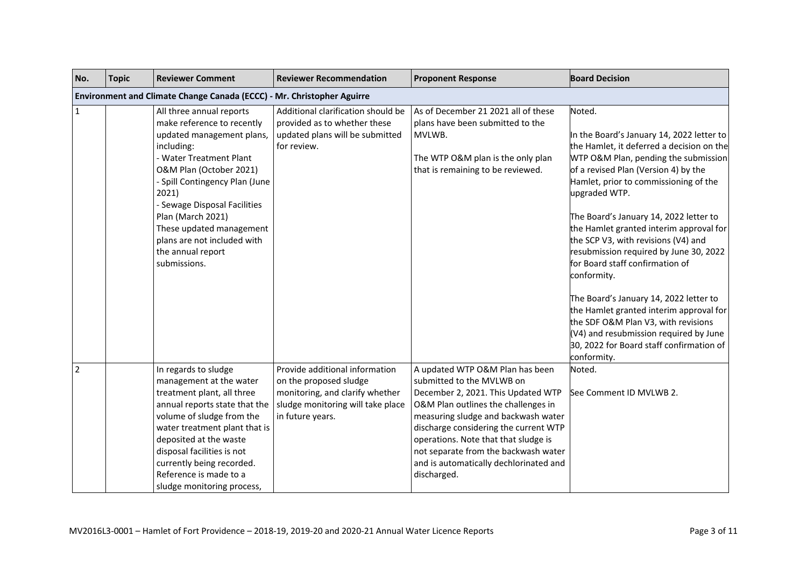| No.            | <b>Topic</b> | <b>Reviewer Comment</b>                                                                                                                                                                                                                                                                                                                                 | <b>Reviewer Recommendation</b>                                                                                                                       | <b>Proponent Response</b>                                                                                                                                                                                                                                                                                                                                          | <b>Board Decision</b>                                                                                                                                                                                                                                                                                                                                                                                                                                                                                                                                                                                                                                                                               |
|----------------|--------------|---------------------------------------------------------------------------------------------------------------------------------------------------------------------------------------------------------------------------------------------------------------------------------------------------------------------------------------------------------|------------------------------------------------------------------------------------------------------------------------------------------------------|--------------------------------------------------------------------------------------------------------------------------------------------------------------------------------------------------------------------------------------------------------------------------------------------------------------------------------------------------------------------|-----------------------------------------------------------------------------------------------------------------------------------------------------------------------------------------------------------------------------------------------------------------------------------------------------------------------------------------------------------------------------------------------------------------------------------------------------------------------------------------------------------------------------------------------------------------------------------------------------------------------------------------------------------------------------------------------------|
|                |              | Environment and Climate Change Canada (ECCC) - Mr. Christopher Aguirre                                                                                                                                                                                                                                                                                  |                                                                                                                                                      |                                                                                                                                                                                                                                                                                                                                                                    |                                                                                                                                                                                                                                                                                                                                                                                                                                                                                                                                                                                                                                                                                                     |
| $\mathbf 1$    |              | All three annual reports<br>make reference to recently<br>updated management plans,<br>including:<br>- Water Treatment Plant<br>O&M Plan (October 2021)<br>- Spill Contingency Plan (June<br>2021)<br>- Sewage Disposal Facilities<br>Plan (March 2021)<br>These updated management<br>plans are not included with<br>the annual report<br>submissions. | Additional clarification should be<br>provided as to whether these<br>updated plans will be submitted<br>for review.                                 | As of December 21 2021 all of these<br>plans have been submitted to the<br>MVLWB.<br>The WTP O&M plan is the only plan<br>that is remaining to be reviewed.                                                                                                                                                                                                        | Noted.<br>In the Board's January 14, 2022 letter to<br>the Hamlet, it deferred a decision on the<br>WTP O&M Plan, pending the submission<br>of a revised Plan (Version 4) by the<br>Hamlet, prior to commissioning of the<br>upgraded WTP.<br>The Board's January 14, 2022 letter to<br>the Hamlet granted interim approval for<br>the SCP V3, with revisions (V4) and<br>resubmission required by June 30, 2022<br>for Board staff confirmation of<br>conformity.<br>The Board's January 14, 2022 letter to<br>the Hamlet granted interim approval for<br>the SDF O&M Plan V3, with revisions<br>(V4) and resubmission required by June<br>30, 2022 for Board staff confirmation of<br>conformity. |
| $\overline{2}$ |              | In regards to sludge<br>management at the water<br>treatment plant, all three<br>annual reports state that the<br>volume of sludge from the<br>water treatment plant that is<br>deposited at the waste<br>disposal facilities is not<br>currently being recorded.<br>Reference is made to a<br>sludge monitoring process,                               | Provide additional information<br>on the proposed sludge<br>monitoring, and clarify whether<br>sludge monitoring will take place<br>in future years. | A updated WTP O&M Plan has been<br>submitted to the MVLWB on<br>December 2, 2021. This Updated WTP<br>O&M Plan outlines the challenges in<br>measuring sludge and backwash water<br>discharge considering the current WTP<br>operations. Note that that sludge is<br>not separate from the backwash water<br>and is automatically dechlorinated and<br>discharged. | Noted.<br>See Comment ID MVLWB 2.                                                                                                                                                                                                                                                                                                                                                                                                                                                                                                                                                                                                                                                                   |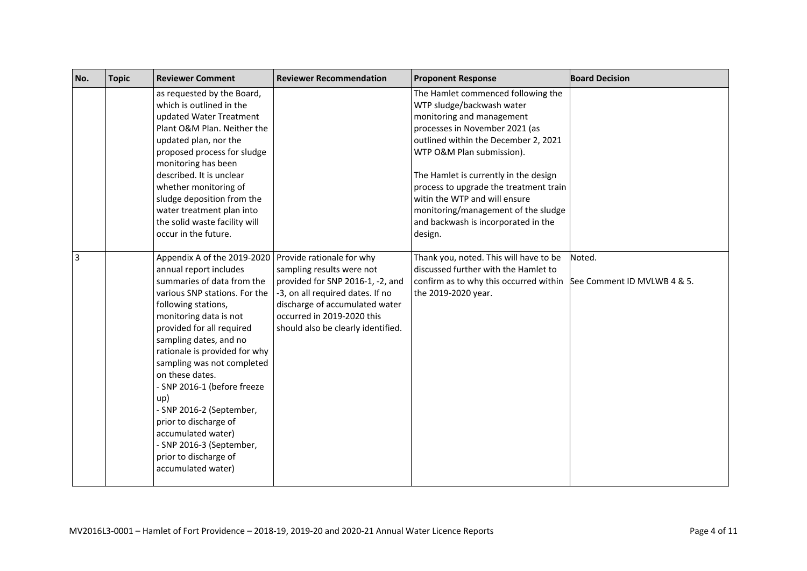| No.            | <b>Topic</b> | <b>Reviewer Comment</b>                                                                                                                                                                                                                                                                                                                                                                                                                                                                                                              | <b>Reviewer Recommendation</b>                                                                                                                                                                          | <b>Proponent Response</b>                                                                                                                                                                                                                                                                                                                                                                                        | <b>Board Decision</b> |
|----------------|--------------|--------------------------------------------------------------------------------------------------------------------------------------------------------------------------------------------------------------------------------------------------------------------------------------------------------------------------------------------------------------------------------------------------------------------------------------------------------------------------------------------------------------------------------------|---------------------------------------------------------------------------------------------------------------------------------------------------------------------------------------------------------|------------------------------------------------------------------------------------------------------------------------------------------------------------------------------------------------------------------------------------------------------------------------------------------------------------------------------------------------------------------------------------------------------------------|-----------------------|
|                |              | as requested by the Board,<br>which is outlined in the<br>updated Water Treatment<br>Plant O&M Plan. Neither the<br>updated plan, nor the<br>proposed process for sludge<br>monitoring has been<br>described. It is unclear<br>whether monitoring of<br>sludge deposition from the<br>water treatment plan into<br>the solid waste facility will<br>occur in the future.                                                                                                                                                             |                                                                                                                                                                                                         | The Hamlet commenced following the<br>WTP sludge/backwash water<br>monitoring and management<br>processes in November 2021 (as<br>outlined within the December 2, 2021<br>WTP O&M Plan submission).<br>The Hamlet is currently in the design<br>process to upgrade the treatment train<br>witin the WTP and will ensure<br>monitoring/management of the sludge<br>and backwash is incorporated in the<br>design. |                       |
| $\overline{3}$ |              | Appendix A of the 2019-2020 Provide rationale for why<br>annual report includes<br>summaries of data from the<br>various SNP stations. For the<br>following stations,<br>monitoring data is not<br>provided for all required<br>sampling dates, and no<br>rationale is provided for why<br>sampling was not completed<br>on these dates.<br>- SNP 2016-1 (before freeze<br>up)<br>- SNP 2016-2 (September,<br>prior to discharge of<br>accumulated water)<br>- SNP 2016-3 (September,<br>prior to discharge of<br>accumulated water) | sampling results were not<br>provided for SNP 2016-1, -2, and<br>-3, on all required dates. If no<br>discharge of accumulated water<br>occurred in 2019-2020 this<br>should also be clearly identified. | Thank you, noted. This will have to be<br>discussed further with the Hamlet to<br>confirm as to why this occurred within $\left  \text{See Comment ID MVLWB } 4 \& 5. \right $<br>the 2019-2020 year.                                                                                                                                                                                                            | Noted.                |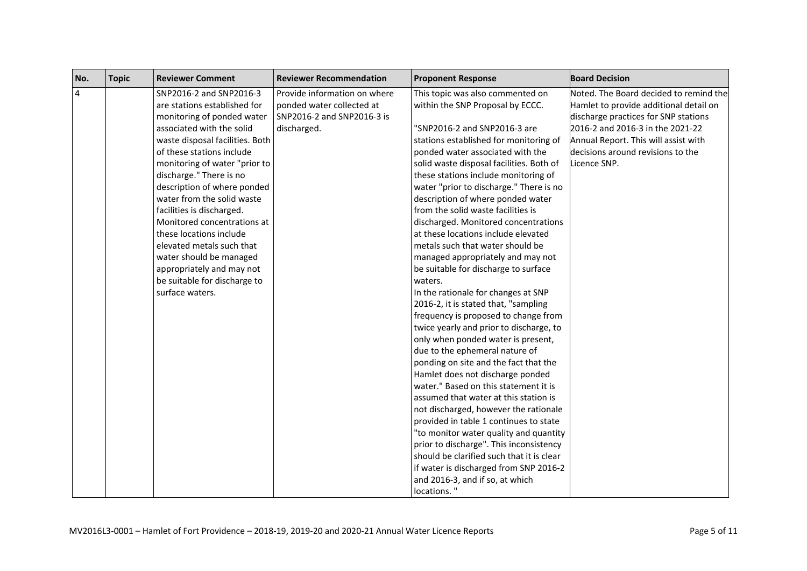| No. | <b>Topic</b> | <b>Reviewer Comment</b>         | <b>Reviewer Recommendation</b> | <b>Proponent Response</b>                 | <b>Board Decision</b>                  |
|-----|--------------|---------------------------------|--------------------------------|-------------------------------------------|----------------------------------------|
| 4   |              | SNP2016-2 and SNP2016-3         | Provide information on where   | This topic was also commented on          | Noted. The Board decided to remind the |
|     |              | are stations established for    | ponded water collected at      | within the SNP Proposal by ECCC.          | Hamlet to provide additional detail on |
|     |              | monitoring of ponded water      | SNP2016-2 and SNP2016-3 is     |                                           | discharge practices for SNP stations   |
|     |              | associated with the solid       | discharged.                    | "SNP2016-2 and SNP2016-3 are              | 2016-2 and 2016-3 in the 2021-22       |
|     |              | waste disposal facilities. Both |                                | stations established for monitoring of    | Annual Report. This will assist with   |
|     |              | of these stations include       |                                | ponded water associated with the          | decisions around revisions to the      |
|     |              | monitoring of water "prior to   |                                | solid waste disposal facilities. Both of  | Licence SNP.                           |
|     |              | discharge." There is no         |                                | these stations include monitoring of      |                                        |
|     |              | description of where ponded     |                                | water "prior to discharge." There is no   |                                        |
|     |              | water from the solid waste      |                                | description of where ponded water         |                                        |
|     |              | facilities is discharged.       |                                | from the solid waste facilities is        |                                        |
|     |              | Monitored concentrations at     |                                | discharged. Monitored concentrations      |                                        |
|     |              | these locations include         |                                | at these locations include elevated       |                                        |
|     |              | elevated metals such that       |                                | metals such that water should be          |                                        |
|     |              | water should be managed         |                                | managed appropriately and may not         |                                        |
|     |              | appropriately and may not       |                                | be suitable for discharge to surface      |                                        |
|     |              | be suitable for discharge to    |                                | waters.                                   |                                        |
|     |              | surface waters.                 |                                | In the rationale for changes at SNP       |                                        |
|     |              |                                 |                                | 2016-2, it is stated that, "sampling      |                                        |
|     |              |                                 |                                | frequency is proposed to change from      |                                        |
|     |              |                                 |                                | twice yearly and prior to discharge, to   |                                        |
|     |              |                                 |                                | only when ponded water is present,        |                                        |
|     |              |                                 |                                | due to the ephemeral nature of            |                                        |
|     |              |                                 |                                | ponding on site and the fact that the     |                                        |
|     |              |                                 |                                | Hamlet does not discharge ponded          |                                        |
|     |              |                                 |                                | water." Based on this statement it is     |                                        |
|     |              |                                 |                                | assumed that water at this station is     |                                        |
|     |              |                                 |                                | not discharged, however the rationale     |                                        |
|     |              |                                 |                                | provided in table 1 continues to state    |                                        |
|     |              |                                 |                                | "to monitor water quality and quantity    |                                        |
|     |              |                                 |                                | prior to discharge". This inconsistency   |                                        |
|     |              |                                 |                                | should be clarified such that it is clear |                                        |
|     |              |                                 |                                | if water is discharged from SNP 2016-2    |                                        |
|     |              |                                 |                                | and 2016-3, and if so, at which           |                                        |
|     |              |                                 |                                | locations."                               |                                        |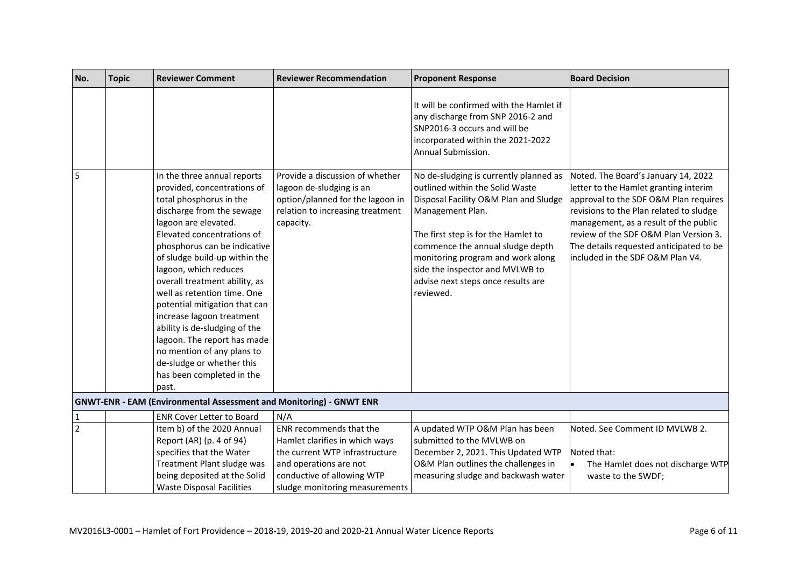| No.            | <b>Topic</b> | <b>Reviewer Comment</b>                                                                                                                                                                                                                                                                                                                                                                                                                                                                                                                                           | <b>Reviewer Recommendation</b>                                                                                                                   | <b>Proponent Response</b>                                                                                                                                                                                                                                                                                                                    | <b>Board Decision</b>                                                                                                                                                                                                                                                                                                             |
|----------------|--------------|-------------------------------------------------------------------------------------------------------------------------------------------------------------------------------------------------------------------------------------------------------------------------------------------------------------------------------------------------------------------------------------------------------------------------------------------------------------------------------------------------------------------------------------------------------------------|--------------------------------------------------------------------------------------------------------------------------------------------------|----------------------------------------------------------------------------------------------------------------------------------------------------------------------------------------------------------------------------------------------------------------------------------------------------------------------------------------------|-----------------------------------------------------------------------------------------------------------------------------------------------------------------------------------------------------------------------------------------------------------------------------------------------------------------------------------|
|                |              |                                                                                                                                                                                                                                                                                                                                                                                                                                                                                                                                                                   |                                                                                                                                                  | It will be confirmed with the Hamlet if<br>any discharge from SNP 2016-2 and<br>SNP2016-3 occurs and will be<br>incorporated within the 2021-2022<br>Annual Submission.                                                                                                                                                                      |                                                                                                                                                                                                                                                                                                                                   |
| 5              |              | In the three annual reports<br>provided, concentrations of<br>total phosphorus in the<br>discharge from the sewage<br>lagoon are elevated.<br>Elevated concentrations of<br>phosphorus can be indicative<br>of sludge build-up within the<br>lagoon, which reduces<br>overall treatment ability, as<br>well as retention time. One<br>potential mitigation that can<br>increase lagoon treatment<br>ability is de-sludging of the<br>lagoon. The report has made<br>no mention of any plans to<br>de-sludge or whether this<br>has been completed in the<br>past. | Provide a discussion of whether<br>lagoon de-sludging is an<br>option/planned for the lagoon in<br>relation to increasing treatment<br>capacity. | No de-sludging is currently planned as<br>outlined within the Solid Waste<br>Disposal Facility O&M Plan and Sludge<br>Management Plan.<br>The first step is for the Hamlet to<br>commence the annual sludge depth<br>monitoring program and work along<br>side the inspector and MVLWB to<br>advise next steps once results are<br>reviewed. | Noted. The Board's January 14, 2022<br>letter to the Hamlet granting interim<br>approval to the SDF O&M Plan requires<br>revisions to the Plan related to sludge<br>management, as a result of the public<br>review of the SDF O&M Plan Version 3.<br>The details requested anticipated to be<br>included in the SDF O&M Plan V4. |
|                |              | <b>GNWT-ENR - EAM (Environmental Assessment and Monitoring) - GNWT ENR</b>                                                                                                                                                                                                                                                                                                                                                                                                                                                                                        |                                                                                                                                                  |                                                                                                                                                                                                                                                                                                                                              |                                                                                                                                                                                                                                                                                                                                   |
| 1              |              | <b>ENR Cover Letter to Board</b>                                                                                                                                                                                                                                                                                                                                                                                                                                                                                                                                  | N/A                                                                                                                                              |                                                                                                                                                                                                                                                                                                                                              |                                                                                                                                                                                                                                                                                                                                   |
| $\overline{2}$ |              | Item b) of the 2020 Annual<br>Report (AR) (p. 4 of 94)                                                                                                                                                                                                                                                                                                                                                                                                                                                                                                            | ENR recommends that the<br>Hamlet clarifies in which ways                                                                                        | A updated WTP O&M Plan has been<br>submitted to the MVLWB on                                                                                                                                                                                                                                                                                 | Noted. See Comment ID MVLWB 2.                                                                                                                                                                                                                                                                                                    |
|                |              | specifies that the Water                                                                                                                                                                                                                                                                                                                                                                                                                                                                                                                                          | the current WTP infrastructure                                                                                                                   | December 2, 2021. This Updated WTP                                                                                                                                                                                                                                                                                                           | Noted that:                                                                                                                                                                                                                                                                                                                       |
|                |              | Treatment Plant sludge was                                                                                                                                                                                                                                                                                                                                                                                                                                                                                                                                        | and operations are not                                                                                                                           | O&M Plan outlines the challenges in                                                                                                                                                                                                                                                                                                          | The Hamlet does not discharge WTP                                                                                                                                                                                                                                                                                                 |
|                |              | being deposited at the Solid                                                                                                                                                                                                                                                                                                                                                                                                                                                                                                                                      | conductive of allowing WTP                                                                                                                       | measuring sludge and backwash water                                                                                                                                                                                                                                                                                                          | waste to the SWDF;                                                                                                                                                                                                                                                                                                                |
|                |              | <b>Waste Disposal Facilities</b>                                                                                                                                                                                                                                                                                                                                                                                                                                                                                                                                  | sludge monitoring measurements                                                                                                                   |                                                                                                                                                                                                                                                                                                                                              |                                                                                                                                                                                                                                                                                                                                   |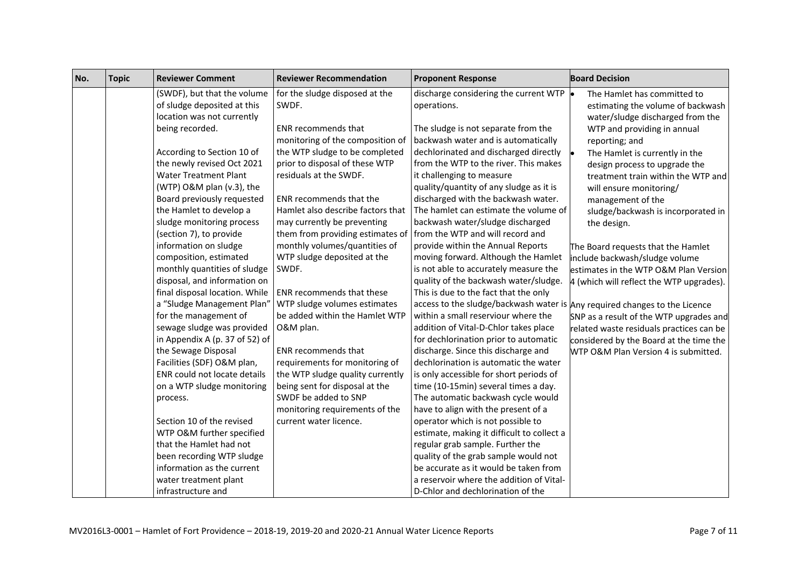| No. | <b>Topic</b> | <b>Reviewer Comment</b>        | <b>Reviewer Recommendation</b>    | <b>Proponent Response</b>                                                  | <b>Board Decision</b>                    |
|-----|--------------|--------------------------------|-----------------------------------|----------------------------------------------------------------------------|------------------------------------------|
|     |              | (SWDF), but that the volume    | for the sludge disposed at the    | discharge considering the current WTP $\vert \bullet \vert$                | The Hamlet has committed to              |
|     |              | of sludge deposited at this    | SWDF.                             | operations.                                                                | estimating the volume of backwash        |
|     |              | location was not currently     |                                   |                                                                            | water/sludge discharged from the         |
|     |              | being recorded.                | <b>ENR</b> recommends that        | The sludge is not separate from the                                        | WTP and providing in annual              |
|     |              |                                | monitoring of the composition of  | backwash water and is automatically                                        | reporting; and                           |
|     |              | According to Section 10 of     | the WTP sludge to be completed    | dechlorinated and discharged directly                                      | The Hamlet is currently in the           |
|     |              | the newly revised Oct 2021     | prior to disposal of these WTP    | from the WTP to the river. This makes                                      | design process to upgrade the            |
|     |              | <b>Water Treatment Plant</b>   | residuals at the SWDF.            | it challenging to measure                                                  | treatment train within the WTP and       |
|     |              | (WTP) O&M plan (v.3), the      |                                   | quality/quantity of any sludge as it is                                    | will ensure monitoring/                  |
|     |              | Board previously requested     | ENR recommends that the           | discharged with the backwash water.                                        | management of the                        |
|     |              | the Hamlet to develop a        | Hamlet also describe factors that | The hamlet can estimate the volume of                                      | sludge/backwash is incorporated in       |
|     |              | sludge monitoring process      | may currently be preventing       | backwash water/sludge discharged                                           | the design.                              |
|     |              | (section 7), to provide        | them from providing estimates of  | from the WTP and will record and                                           |                                          |
|     |              | information on sludge          | monthly volumes/quantities of     | provide within the Annual Reports                                          | The Board requests that the Hamlet       |
|     |              | composition, estimated         | WTP sludge deposited at the       | moving forward. Although the Hamlet                                        | include backwash/sludge volume           |
|     |              | monthly quantities of sludge   | SWDF.                             | is not able to accurately measure the                                      | estimates in the WTP O&M Plan Version    |
|     |              | disposal, and information on   |                                   | quality of the backwash water/sludge.                                      | 4 (which will reflect the WTP upgrades). |
|     |              | final disposal location. While | ENR recommends that these         | This is due to the fact that the only                                      |                                          |
|     |              | a "Sludge Management Plan"     | WTP sludge volumes estimates      | access to the sludge/backwash water is Any required changes to the Licence |                                          |
|     |              | for the management of          | be added within the Hamlet WTP    | within a small reserviour where the                                        | SNP as a result of the WTP upgrades and  |
|     |              | sewage sludge was provided     | O&M plan.                         | addition of Vital-D-Chlor takes place                                      | related waste residuals practices can be |
|     |              | in Appendix A (p. 37 of 52) of |                                   | for dechlorination prior to automatic                                      | considered by the Board at the time the  |
|     |              | the Sewage Disposal            | <b>ENR recommends that</b>        | discharge. Since this discharge and                                        | WTP O&M Plan Version 4 is submitted.     |
|     |              | Facilities (SDF) O&M plan,     | requirements for monitoring of    | dechlorination is automatic the water                                      |                                          |
|     |              | ENR could not locate details   | the WTP sludge quality currently  | is only accessible for short periods of                                    |                                          |
|     |              | on a WTP sludge monitoring     | being sent for disposal at the    | time (10-15min) several times a day.                                       |                                          |
|     |              | process.                       | SWDF be added to SNP              | The automatic backwash cycle would                                         |                                          |
|     |              |                                | monitoring requirements of the    | have to align with the present of a                                        |                                          |
|     |              | Section 10 of the revised      | current water licence.            | operator which is not possible to                                          |                                          |
|     |              | WTP O&M further specified      |                                   | estimate, making it difficult to collect a                                 |                                          |
|     |              | that the Hamlet had not        |                                   | regular grab sample. Further the                                           |                                          |
|     |              | been recording WTP sludge      |                                   | quality of the grab sample would not                                       |                                          |
|     |              | information as the current     |                                   | be accurate as it would be taken from                                      |                                          |
|     |              | water treatment plant          |                                   | a reservoir where the addition of Vital-                                   |                                          |
|     |              | infrastructure and             |                                   | D-Chlor and dechlorination of the                                          |                                          |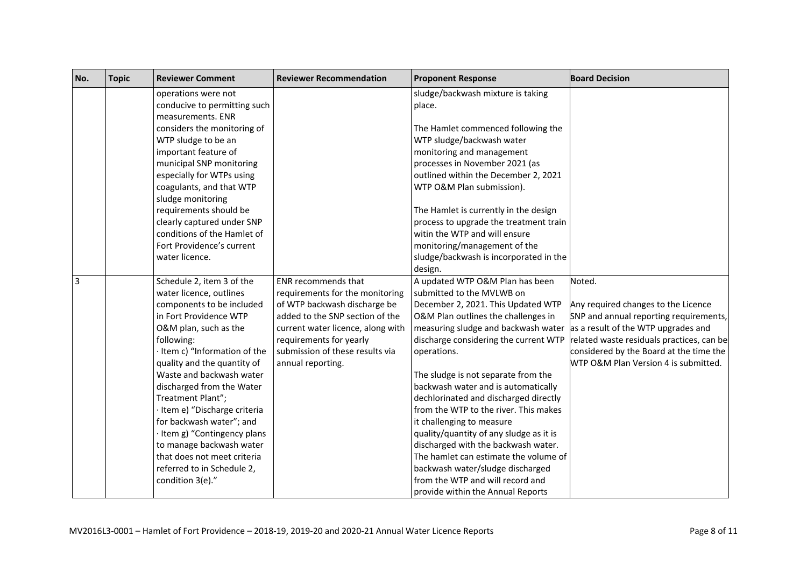| No. | <b>Topic</b> | <b>Reviewer Comment</b>       | <b>Reviewer Recommendation</b>    | <b>Proponent Response</b>               | <b>Board Decision</b>                     |
|-----|--------------|-------------------------------|-----------------------------------|-----------------------------------------|-------------------------------------------|
|     |              | operations were not           |                                   | sludge/backwash mixture is taking       |                                           |
|     |              | conducive to permitting such  |                                   | place.                                  |                                           |
|     |              | measurements, ENR             |                                   |                                         |                                           |
|     |              | considers the monitoring of   |                                   | The Hamlet commenced following the      |                                           |
|     |              | WTP sludge to be an           |                                   | WTP sludge/backwash water               |                                           |
|     |              | important feature of          |                                   | monitoring and management               |                                           |
|     |              | municipal SNP monitoring      |                                   | processes in November 2021 (as          |                                           |
|     |              | especially for WTPs using     |                                   | outlined within the December 2, 2021    |                                           |
|     |              | coagulants, and that WTP      |                                   | WTP O&M Plan submission).               |                                           |
|     |              | sludge monitoring             |                                   |                                         |                                           |
|     |              | requirements should be        |                                   | The Hamlet is currently in the design   |                                           |
|     |              | clearly captured under SNP    |                                   | process to upgrade the treatment train  |                                           |
|     |              | conditions of the Hamlet of   |                                   | witin the WTP and will ensure           |                                           |
|     |              | Fort Providence's current     |                                   | monitoring/management of the            |                                           |
|     |              | water licence.                |                                   | sludge/backwash is incorporated in the  |                                           |
|     |              |                               |                                   | design.                                 |                                           |
| 3   |              | Schedule 2, item 3 of the     | <b>ENR recommends that</b>        | A updated WTP O&M Plan has been         | Noted.                                    |
|     |              | water licence, outlines       | requirements for the monitoring   | submitted to the MVLWB on               |                                           |
|     |              | components to be included     | of WTP backwash discharge be      | December 2, 2021. This Updated WTP      | Any required changes to the Licence       |
|     |              | in Fort Providence WTP        | added to the SNP section of the   | O&M Plan outlines the challenges in     | SNP and annual reporting requirements,    |
|     |              | O&M plan, such as the         | current water licence, along with | measuring sludge and backwash water     | as a result of the WTP upgrades and       |
|     |              | following:                    | requirements for yearly           | discharge considering the current WTP   | related waste residuals practices, can be |
|     |              | · Item c) "Information of the | submission of these results via   | operations.                             | considered by the Board at the time the   |
|     |              | quality and the quantity of   | annual reporting.                 |                                         | WTP O&M Plan Version 4 is submitted.      |
|     |              | Waste and backwash water      |                                   | The sludge is not separate from the     |                                           |
|     |              | discharged from the Water     |                                   | backwash water and is automatically     |                                           |
|     |              | Treatment Plant";             |                                   | dechlorinated and discharged directly   |                                           |
|     |              | · Item e) "Discharge criteria |                                   | from the WTP to the river. This makes   |                                           |
|     |              | for backwash water"; and      |                                   | it challenging to measure               |                                           |
|     |              | · Item g) "Contingency plans  |                                   | quality/quantity of any sludge as it is |                                           |
|     |              | to manage backwash water      |                                   | discharged with the backwash water.     |                                           |
|     |              | that does not meet criteria   |                                   | The hamlet can estimate the volume of   |                                           |
|     |              | referred to in Schedule 2,    |                                   | backwash water/sludge discharged        |                                           |
|     |              | condition 3(e)."              |                                   | from the WTP and will record and        |                                           |
|     |              |                               |                                   | provide within the Annual Reports       |                                           |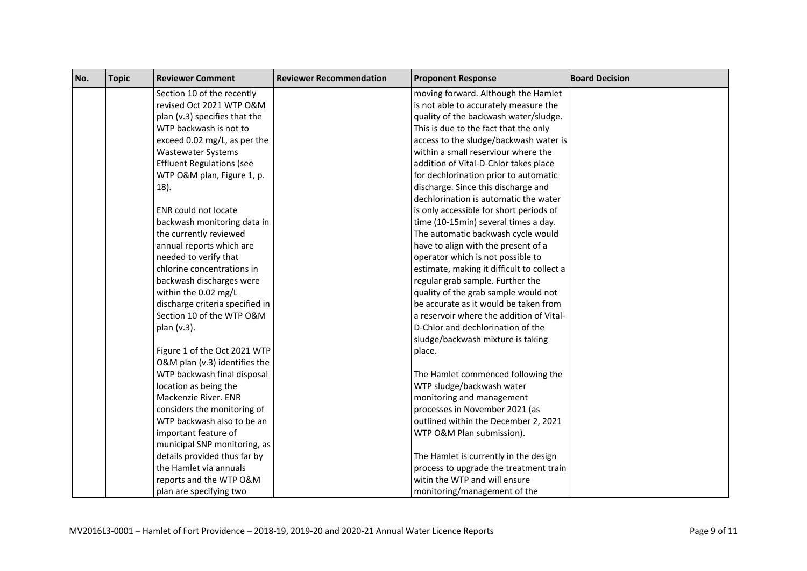| No. | <b>Topic</b> | <b>Reviewer Comment</b>          | <b>Reviewer Recommendation</b> | <b>Proponent Response</b>                  | <b>Board Decision</b> |
|-----|--------------|----------------------------------|--------------------------------|--------------------------------------------|-----------------------|
|     |              | Section 10 of the recently       |                                | moving forward. Although the Hamlet        |                       |
|     |              | revised Oct 2021 WTP O&M         |                                | is not able to accurately measure the      |                       |
|     |              | plan (v.3) specifies that the    |                                | quality of the backwash water/sludge.      |                       |
|     |              | WTP backwash is not to           |                                | This is due to the fact that the only      |                       |
|     |              | exceed 0.02 mg/L, as per the     |                                | access to the sludge/backwash water is     |                       |
|     |              | <b>Wastewater Systems</b>        |                                | within a small reserviour where the        |                       |
|     |              | <b>Effluent Regulations (see</b> |                                | addition of Vital-D-Chlor takes place      |                       |
|     |              | WTP O&M plan, Figure 1, p.       |                                | for dechlorination prior to automatic      |                       |
|     |              | 18).                             |                                | discharge. Since this discharge and        |                       |
|     |              |                                  |                                | dechlorination is automatic the water      |                       |
|     |              | <b>ENR</b> could not locate      |                                | is only accessible for short periods of    |                       |
|     |              | backwash monitoring data in      |                                | time (10-15min) several times a day.       |                       |
|     |              | the currently reviewed           |                                | The automatic backwash cycle would         |                       |
|     |              | annual reports which are         |                                | have to align with the present of a        |                       |
|     |              | needed to verify that            |                                | operator which is not possible to          |                       |
|     |              | chlorine concentrations in       |                                | estimate, making it difficult to collect a |                       |
|     |              | backwash discharges were         |                                | regular grab sample. Further the           |                       |
|     |              | within the 0.02 mg/L             |                                | quality of the grab sample would not       |                       |
|     |              | discharge criteria specified in  |                                | be accurate as it would be taken from      |                       |
|     |              | Section 10 of the WTP O&M        |                                | a reservoir where the addition of Vital-   |                       |
|     |              | plan (v.3).                      |                                | D-Chlor and dechlorination of the          |                       |
|     |              |                                  |                                | sludge/backwash mixture is taking          |                       |
|     |              | Figure 1 of the Oct 2021 WTP     |                                | place.                                     |                       |
|     |              | O&M plan (v.3) identifies the    |                                |                                            |                       |
|     |              | WTP backwash final disposal      |                                | The Hamlet commenced following the         |                       |
|     |              | location as being the            |                                | WTP sludge/backwash water                  |                       |
|     |              | Mackenzie River. ENR             |                                | monitoring and management                  |                       |
|     |              | considers the monitoring of      |                                | processes in November 2021 (as             |                       |
|     |              | WTP backwash also to be an       |                                | outlined within the December 2, 2021       |                       |
|     |              | important feature of             |                                | WTP O&M Plan submission).                  |                       |
|     |              | municipal SNP monitoring, as     |                                |                                            |                       |
|     |              | details provided thus far by     |                                | The Hamlet is currently in the design      |                       |
|     |              | the Hamlet via annuals           |                                | process to upgrade the treatment train     |                       |
|     |              | reports and the WTP O&M          |                                | witin the WTP and will ensure              |                       |
|     |              | plan are specifying two          |                                | monitoring/management of the               |                       |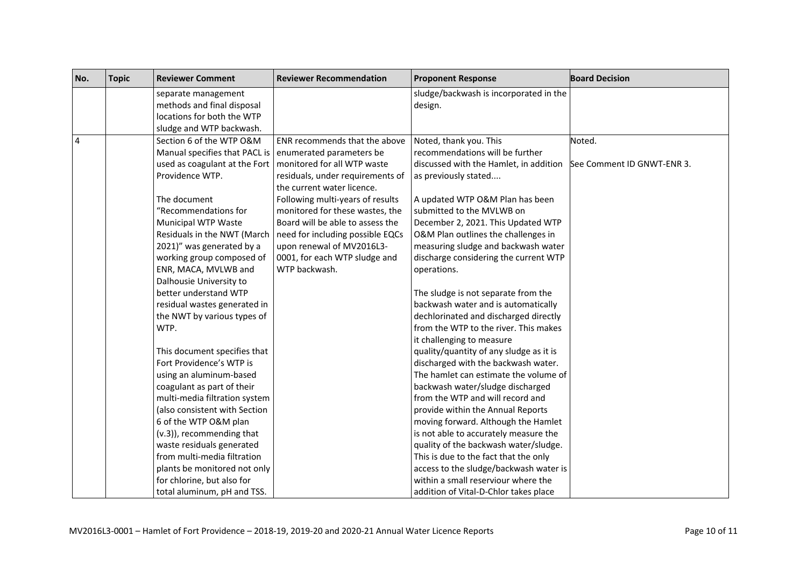| No. | <b>Topic</b> | <b>Reviewer Comment</b>                                     | <b>Reviewer Recommendation</b>                                 | <b>Proponent Response</b>               | <b>Board Decision</b>      |
|-----|--------------|-------------------------------------------------------------|----------------------------------------------------------------|-----------------------------------------|----------------------------|
|     |              | separate management                                         |                                                                | sludge/backwash is incorporated in the  |                            |
|     |              | methods and final disposal                                  |                                                                | design.                                 |                            |
|     |              | locations for both the WTP                                  |                                                                |                                         |                            |
|     |              | sludge and WTP backwash.                                    |                                                                |                                         |                            |
| 4   |              | Section 6 of the WTP O&M                                    | ENR recommends that the above                                  | Noted, thank you. This                  | Noted.                     |
|     |              | Manual specifies that PACL is                               | enumerated parameters be                                       | recommendations will be further         |                            |
|     |              | used as coagulant at the Fort   monitored for all WTP waste |                                                                | discussed with the Hamlet, in addition  | See Comment ID GNWT-ENR 3. |
|     |              | Providence WTP.                                             | residuals, under requirements of<br>the current water licence. | as previously stated                    |                            |
|     |              | The document                                                | Following multi-years of results                               | A updated WTP O&M Plan has been         |                            |
|     |              | "Recommendations for                                        | monitored for these wastes, the                                | submitted to the MVLWB on               |                            |
|     |              | Municipal WTP Waste                                         | Board will be able to assess the                               | December 2, 2021. This Updated WTP      |                            |
|     |              | Residuals in the NWT (March                                 | need for including possible EQCs                               | O&M Plan outlines the challenges in     |                            |
|     |              | 2021)" was generated by a                                   | upon renewal of MV2016L3-                                      | measuring sludge and backwash water     |                            |
|     |              | working group composed of                                   | 0001, for each WTP sludge and                                  | discharge considering the current WTP   |                            |
|     |              | ENR, MACA, MVLWB and                                        | WTP backwash.                                                  | operations.                             |                            |
|     |              | Dalhousie University to                                     |                                                                |                                         |                            |
|     |              | better understand WTP                                       |                                                                | The sludge is not separate from the     |                            |
|     |              | residual wastes generated in                                |                                                                | backwash water and is automatically     |                            |
|     |              | the NWT by various types of                                 |                                                                | dechlorinated and discharged directly   |                            |
|     |              | WTP.                                                        |                                                                | from the WTP to the river. This makes   |                            |
|     |              |                                                             |                                                                | it challenging to measure               |                            |
|     |              | This document specifies that                                |                                                                | quality/quantity of any sludge as it is |                            |
|     |              | Fort Providence's WTP is                                    |                                                                | discharged with the backwash water.     |                            |
|     |              | using an aluminum-based                                     |                                                                | The hamlet can estimate the volume of   |                            |
|     |              | coagulant as part of their                                  |                                                                | backwash water/sludge discharged        |                            |
|     |              | multi-media filtration system                               |                                                                | from the WTP and will record and        |                            |
|     |              | (also consistent with Section                               |                                                                | provide within the Annual Reports       |                            |
|     |              | 6 of the WTP O&M plan                                       |                                                                | moving forward. Although the Hamlet     |                            |
|     |              | (v.3)), recommending that                                   |                                                                | is not able to accurately measure the   |                            |
|     |              | waste residuals generated                                   |                                                                | quality of the backwash water/sludge.   |                            |
|     |              | from multi-media filtration                                 |                                                                | This is due to the fact that the only   |                            |
|     |              | plants be monitored not only                                |                                                                | access to the sludge/backwash water is  |                            |
|     |              | for chlorine, but also for                                  |                                                                | within a small reserviour where the     |                            |
|     |              | total aluminum, pH and TSS.                                 |                                                                | addition of Vital-D-Chlor takes place   |                            |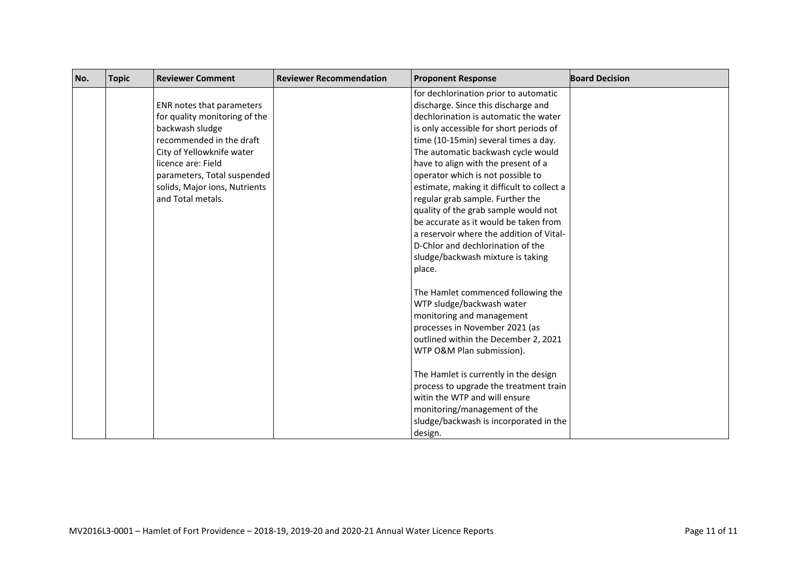| No. | <b>Topic</b> | <b>Reviewer Comment</b>       | <b>Reviewer Recommendation</b> | <b>Proponent Response</b>                  | <b>Board Decision</b> |
|-----|--------------|-------------------------------|--------------------------------|--------------------------------------------|-----------------------|
|     |              |                               |                                | for dechlorination prior to automatic      |                       |
|     |              | ENR notes that parameters     |                                | discharge. Since this discharge and        |                       |
|     |              | for quality monitoring of the |                                | dechlorination is automatic the water      |                       |
|     |              | backwash sludge               |                                | is only accessible for short periods of    |                       |
|     |              | recommended in the draft      |                                | time (10-15min) several times a day.       |                       |
|     |              | City of Yellowknife water     |                                | The automatic backwash cycle would         |                       |
|     |              | licence are: Field            |                                | have to align with the present of a        |                       |
|     |              | parameters, Total suspended   |                                | operator which is not possible to          |                       |
|     |              | solids, Major ions, Nutrients |                                | estimate, making it difficult to collect a |                       |
|     |              | and Total metals.             |                                | regular grab sample. Further the           |                       |
|     |              |                               |                                | quality of the grab sample would not       |                       |
|     |              |                               |                                | be accurate as it would be taken from      |                       |
|     |              |                               |                                | a reservoir where the addition of Vital-   |                       |
|     |              |                               |                                | D-Chlor and dechlorination of the          |                       |
|     |              |                               |                                | sludge/backwash mixture is taking          |                       |
|     |              |                               |                                | place.                                     |                       |
|     |              |                               |                                | The Hamlet commenced following the         |                       |
|     |              |                               |                                | WTP sludge/backwash water                  |                       |
|     |              |                               |                                | monitoring and management                  |                       |
|     |              |                               |                                | processes in November 2021 (as             |                       |
|     |              |                               |                                | outlined within the December 2, 2021       |                       |
|     |              |                               |                                | WTP O&M Plan submission).                  |                       |
|     |              |                               |                                | The Hamlet is currently in the design      |                       |
|     |              |                               |                                | process to upgrade the treatment train     |                       |
|     |              |                               |                                | witin the WTP and will ensure              |                       |
|     |              |                               |                                | monitoring/management of the               |                       |
|     |              |                               |                                | sludge/backwash is incorporated in the     |                       |
|     |              |                               |                                | design.                                    |                       |